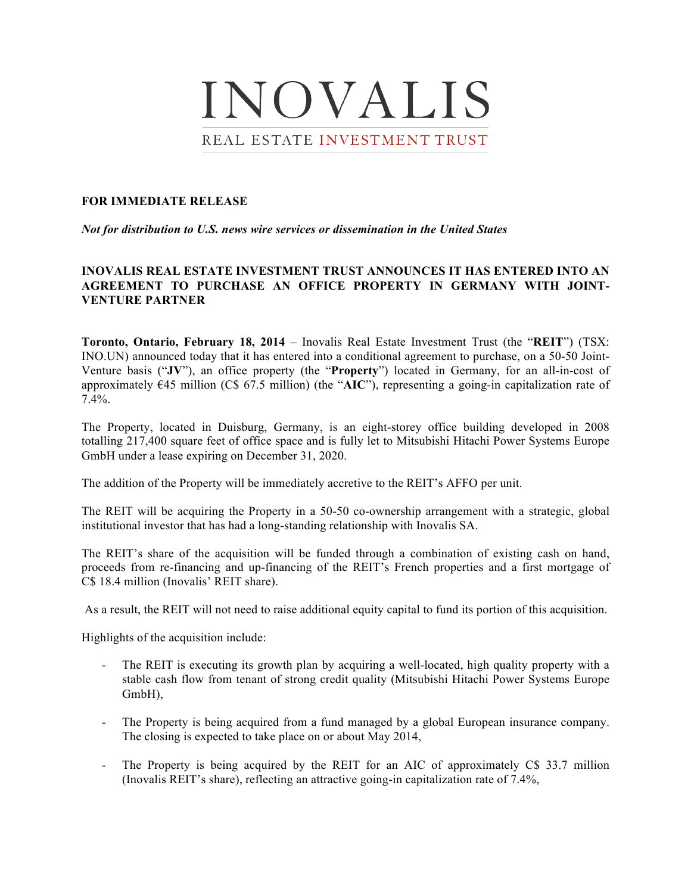

## **FOR IMMEDIATE RELEASE**

*Not for distribution to U.S. news wire services or dissemination in the United States*

# **INOVALIS REAL ESTATE INVESTMENT TRUST ANNOUNCES IT HAS ENTERED INTO AN AGREEMENT TO PURCHASE AN OFFICE PROPERTY IN GERMANY WITH JOINT-VENTURE PARTNER**

**Toronto, Ontario, February 18, 2014** – Inovalis Real Estate Investment Trust (the "**REIT**") (TSX: INO.UN) announced today that it has entered into a conditional agreement to purchase, on a 50-50 Joint-Venture basis ("**JV**"), an office property (the "**Property**") located in Germany, for an all-in-cost of approximately €45 million (C\$ 67.5 million) (the "**AIC**"), representing a going-in capitalization rate of 7.4%.

The Property, located in Duisburg, Germany, is an eight-storey office building developed in 2008 totalling 217,400 square feet of office space and is fully let to Mitsubishi Hitachi Power Systems Europe GmbH under a lease expiring on December 31, 2020.

The addition of the Property will be immediately accretive to the REIT's AFFO per unit.

The REIT will be acquiring the Property in a 50-50 co-ownership arrangement with a strategic, global institutional investor that has had a long-standing relationship with Inovalis SA.

The REIT's share of the acquisition will be funded through a combination of existing cash on hand, proceeds from re-financing and up-financing of the REIT's French properties and a first mortgage of C\$ 18.4 million (Inovalis' REIT share).

As a result, the REIT will not need to raise additional equity capital to fund its portion of this acquisition.

Highlights of the acquisition include:

- The REIT is executing its growth plan by acquiring a well-located, high quality property with a stable cash flow from tenant of strong credit quality (Mitsubishi Hitachi Power Systems Europe GmbH),
- The Property is being acquired from a fund managed by a global European insurance company. The closing is expected to take place on or about May 2014,
- The Property is being acquired by the REIT for an AIC of approximately C\$ 33.7 million (Inovalis REIT's share), reflecting an attractive going-in capitalization rate of 7.4%,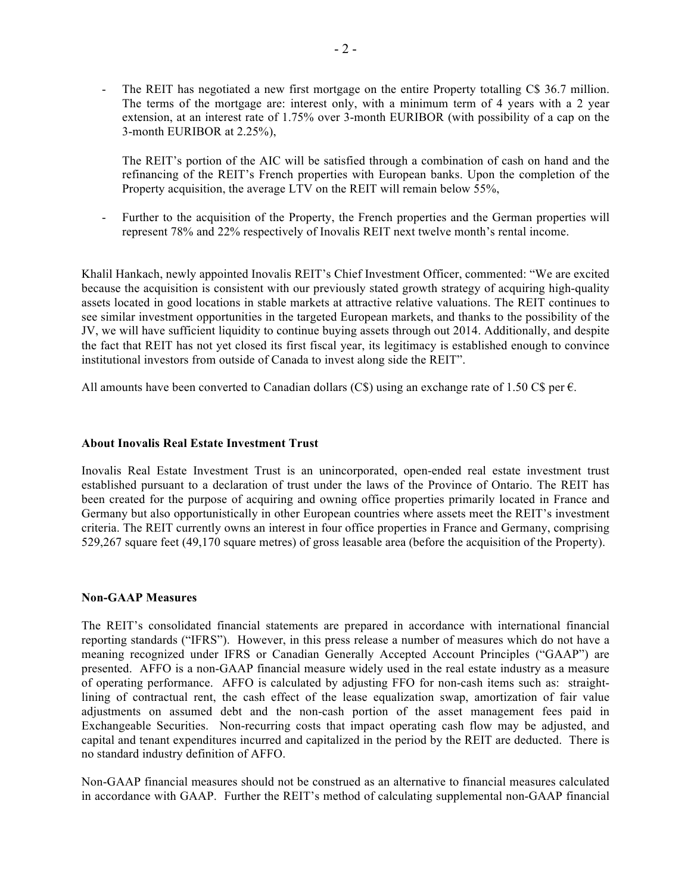- The REIT has negotiated a new first mortgage on the entire Property totalling C\$ 36.7 million. The terms of the mortgage are: interest only, with a minimum term of 4 years with a 2 year extension, at an interest rate of 1.75% over 3-month EURIBOR (with possibility of a cap on the 3-month EURIBOR at 2.25%),

The REIT's portion of the AIC will be satisfied through a combination of cash on hand and the refinancing of the REIT's French properties with European banks. Upon the completion of the Property acquisition, the average LTV on the REIT will remain below 55%,

Further to the acquisition of the Property, the French properties and the German properties will represent 78% and 22% respectively of Inovalis REIT next twelve month's rental income.

Khalil Hankach, newly appointed Inovalis REIT's Chief Investment Officer, commented: "We are excited because the acquisition is consistent with our previously stated growth strategy of acquiring high-quality assets located in good locations in stable markets at attractive relative valuations. The REIT continues to see similar investment opportunities in the targeted European markets, and thanks to the possibility of the JV, we will have sufficient liquidity to continue buying assets through out 2014. Additionally, and despite the fact that REIT has not yet closed its first fiscal year, its legitimacy is established enough to convince institutional investors from outside of Canada to invest along side the REIT".

All amounts have been converted to Canadian dollars (C\$) using an exchange rate of 1.50 C\$ per  $\epsilon$ .

### **About Inovalis Real Estate Investment Trust**

Inovalis Real Estate Investment Trust is an unincorporated, open-ended real estate investment trust established pursuant to a declaration of trust under the laws of the Province of Ontario. The REIT has been created for the purpose of acquiring and owning office properties primarily located in France and Germany but also opportunistically in other European countries where assets meet the REIT's investment criteria. The REIT currently owns an interest in four office properties in France and Germany, comprising 529,267 square feet (49,170 square metres) of gross leasable area (before the acquisition of the Property).

### **Non-GAAP Measures**

The REIT's consolidated financial statements are prepared in accordance with international financial reporting standards ("IFRS"). However, in this press release a number of measures which do not have a meaning recognized under IFRS or Canadian Generally Accepted Account Principles ("GAAP") are presented. AFFO is a non-GAAP financial measure widely used in the real estate industry as a measure of operating performance. AFFO is calculated by adjusting FFO for non-cash items such as: straightlining of contractual rent, the cash effect of the lease equalization swap, amortization of fair value adjustments on assumed debt and the non-cash portion of the asset management fees paid in Exchangeable Securities. Non-recurring costs that impact operating cash flow may be adjusted, and capital and tenant expenditures incurred and capitalized in the period by the REIT are deducted. There is no standard industry definition of AFFO.

Non-GAAP financial measures should not be construed as an alternative to financial measures calculated in accordance with GAAP. Further the REIT's method of calculating supplemental non-GAAP financial